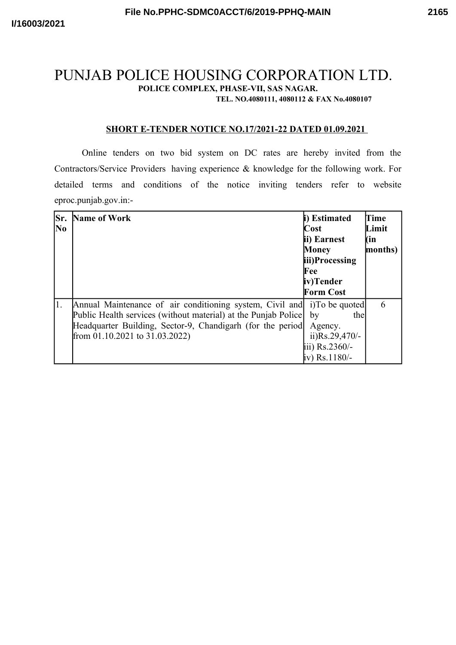## PUNJAB POLICE HOUSING CORPORATION LTD. **POLICE COMPLEX, PHASE-VII, SAS NAGAR. TEL. NO.4080111, 4080112 & FAX No.4080107**

## **SHORT E-TENDER NOTICE NO.17/2021-22 DATED 01.09.2021**

Online tenders on two bid system on DC rates are hereby invited from the Contractors/Service Providers having experience & knowledge for the following work. For detailed terms and conditions of the notice inviting tenders refer to website eproc.punjab.gov.in:-

| Sr.<br>No | <b>Name of Work</b>                                                                                                                                                                                                                             | i) Estimated<br>Cost<br>ii) Earnest<br>Money<br>iii)Processing<br>Fee<br>iv)Tender<br><b>Form Cost</b> | Time<br>Limit<br>(in<br>months) |
|-----------|-------------------------------------------------------------------------------------------------------------------------------------------------------------------------------------------------------------------------------------------------|--------------------------------------------------------------------------------------------------------|---------------------------------|
| 1.        | Annual Maintenance of air conditioning system, Civil and i)To be quoted<br>Public Health services (without material) at the Punjab Police<br>Headquarter Building, Sector-9, Chandigarh (for the period)<br>from $01.10.2021$ to $31.03.2022$ ) | the<br>by<br>Agency.<br>ii) $Rs.29,470/-$<br>iii) Rs.2360/-<br>iv) Rs.1180/-                           |                                 |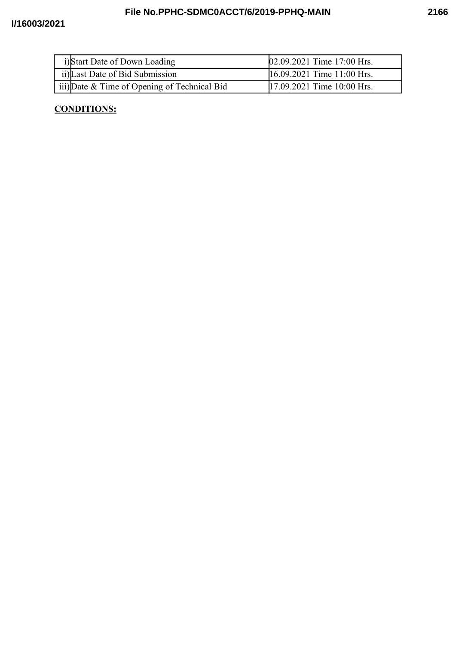| i)Start Date of Down Loading                 | $[02.09.2021$ Time 17:00 Hrs. |
|----------------------------------------------|-------------------------------|
| ii) Last Date of Bid Submission              | $16.09.2021$ Time 11:00 Hrs.  |
| iii) Date & Time of Opening of Technical Bid | [17.09.2021 Time 10:00 Hrs.]  |

## **CONDITIONS:**